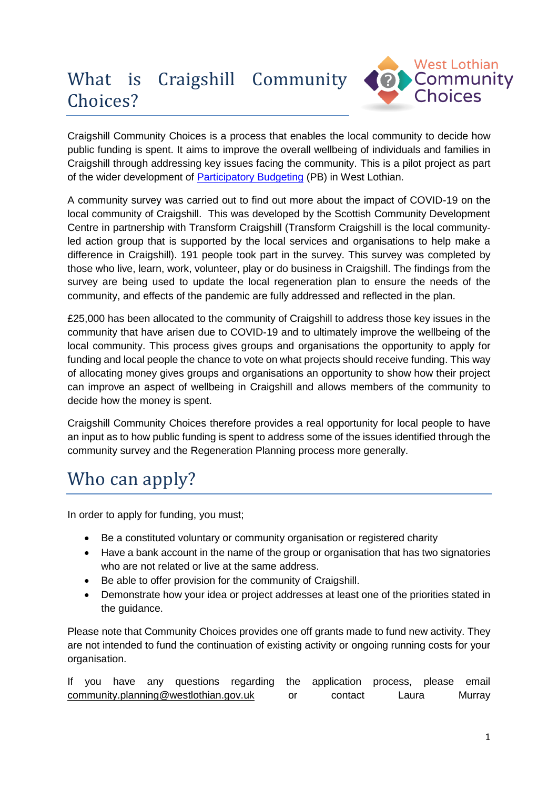# What is Craigshill Community Choices?



Craigshill Community Choices is a process that enables the local community to decide how public funding is spent. It aims to improve the overall wellbeing of individuals and families in Craigshill through addressing key issues facing the community. This is a pilot project as part of the wider development of [Participatory Budgeting](https://pbscotland.scot/about) (PB) in West Lothian.

A community survey was carried out to find out more about the impact of COVID-19 on the local community of Craigshill. This was developed by the Scottish Community Development Centre in partnership with Transform Craigshill (Transform Craigshill is the local communityled action group that is supported by the local services and organisations to help make a difference in Craigshill). 191 people took part in the survey. This survey was completed by those who live, learn, work, volunteer, play or do business in Craigshill. The findings from the survey are being used to update the local regeneration plan to ensure the needs of the community, and effects of the pandemic are fully addressed and reflected in the plan.

£25,000 has been allocated to the community of Craigshill to address those key issues in the community that have arisen due to COVID-19 and to ultimately improve the wellbeing of the local community. This process gives groups and organisations the opportunity to apply for funding and local people the chance to vote on what projects should receive funding. This way of allocating money gives groups and organisations an opportunity to show how their project can improve an aspect of wellbeing in Craigshill and allows members of the community to decide how the money is spent.

Craigshill Community Choices therefore provides a real opportunity for local people to have an input as to how public funding is spent to address some of the issues identified through the community survey and the Regeneration Planning process more generally.

# Who can apply?

In order to apply for funding, you must;

- Be a constituted voluntary or community organisation or registered charity
- Have a bank account in the name of the group or organisation that has two signatories who are not related or live at the same address.
- Be able to offer provision for the community of Craigshill.
- Demonstrate how your idea or project addresses at least one of the priorities stated in the guidance.

Please note that Community Choices provides one off grants made to fund new activity. They are not intended to fund the continuation of existing activity or ongoing running costs for your organisation.

If you have any questions regarding the application process, please email [community.planning@westlothian.gov.uk](mailto:community.planning@westlothian.gov.uk) or contact Laura Murray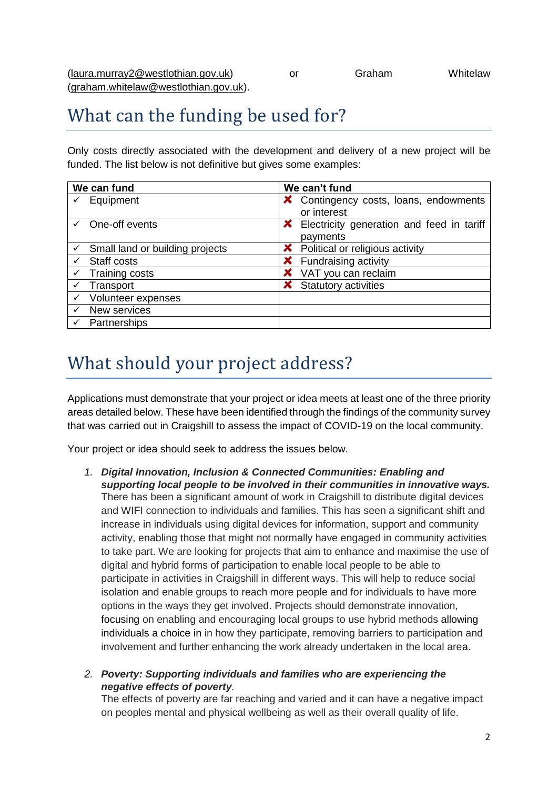## What can the funding be used for?

Only costs directly associated with the development and delivery of a new project will be funded. The list below is not definitive but gives some examples:

| We can fund                                  | We can't fund                                      |
|----------------------------------------------|----------------------------------------------------|
| Equipment                                    | X Contingency costs, loans, endowments             |
|                                              | or interest                                        |
| One-off events                               | <b>X</b> Electricity generation and feed in tariff |
|                                              | payments                                           |
| $\checkmark$ Small land or building projects | <b>X</b> Political or religious activity           |
| Staff costs<br>✓                             | <b>X</b> Fundraising activity                      |
| Training costs<br>✓                          | VAT you can reclaim                                |
| Transport<br>✓                               | <b>X</b> Statutory activities                      |
| Volunteer expenses                           |                                                    |
| New services                                 |                                                    |
| Partnerships                                 |                                                    |

## What should your project address?

Applications must demonstrate that your project or idea meets at least one of the three priority areas detailed below. These have been identified through the findings of the community survey that was carried out in Craigshill to assess the impact of COVID-19 on the local community.

Your project or idea should seek to address the issues below.

- *1. Digital Innovation, Inclusion & Connected Communities: Enabling and supporting local people to be involved in their communities in innovative ways.* There has been a significant amount of work in Craigshill to distribute digital devices and WIFI connection to individuals and families. This has seen a significant shift and increase in individuals using digital devices for information, support and community activity, enabling those that might not normally have engaged in community activities to take part. We are looking for projects that aim to enhance and maximise the use of digital and hybrid forms of participation to enable local people to be able to participate in activities in Craigshill in different ways. This will help to reduce social isolation and enable groups to reach more people and for individuals to have more options in the ways they get involved. Projects should demonstrate innovation, focusing on enabling and encouraging local groups to use hybrid methods allowing individuals a choice in in how they participate, removing barriers to participation and involvement and further enhancing the work already undertaken in the local area.
- *2. Poverty: Supporting individuals and families who are experiencing the negative effects of poverty.*

The effects of poverty are far reaching and varied and it can have a negative impact on peoples mental and physical wellbeing as well as their overall quality of life.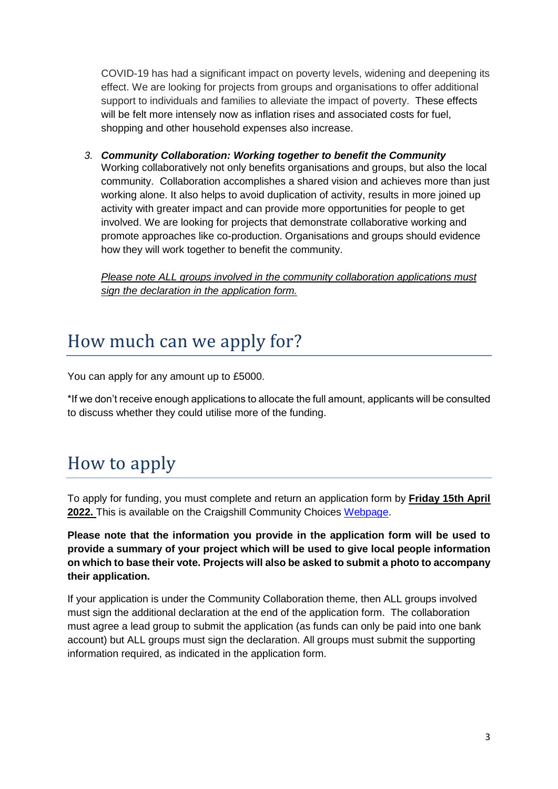COVID-19 has had a significant impact on poverty levels, widening and deepening its effect. We are looking for projects from groups and organisations to offer additional support to individuals and families to alleviate the impact of poverty. These effects will be felt more intensely now as inflation rises and associated costs for fuel, shopping and other household expenses also increase.

*3. Community Collaboration: Working together to benefit the Community* Working collaboratively not only benefits organisations and groups, but also the local community. Collaboration accomplishes a shared vision and achieves more than just working alone. It also helps to avoid duplication of activity, results in more joined up activity with greater impact and can provide more opportunities for people to get involved. We are looking for projects that demonstrate collaborative working and promote approaches like co-production. Organisations and groups should evidence how they will work together to benefit the community.

*Please note ALL groups involved in the community collaboration applications must sign the declaration in the application form.*

## How much can we apply for?

You can apply for any amount up to £5000.

\*If we don't receive enough applications to allocate the full amount, applicants will be consulted to discuss whether they could utilise more of the funding.

## How to apply

To apply for funding, you must complete and return an application form by **Friday 15th April 2022.** This is available on the Craigshill Community Choices [Webpage.](http://www.westlothian.gov.uk/craigshill-community-choices)

**Please note that the information you provide in the application form will be used to provide a summary of your project which will be used to give local people information on which to base their vote. Projects will also be asked to submit a photo to accompany their application.**

If your application is under the Community Collaboration theme, then ALL groups involved must sign the additional declaration at the end of the application form. The collaboration must agree a lead group to submit the application (as funds can only be paid into one bank account) but ALL groups must sign the declaration. All groups must submit the supporting information required, as indicated in the application form.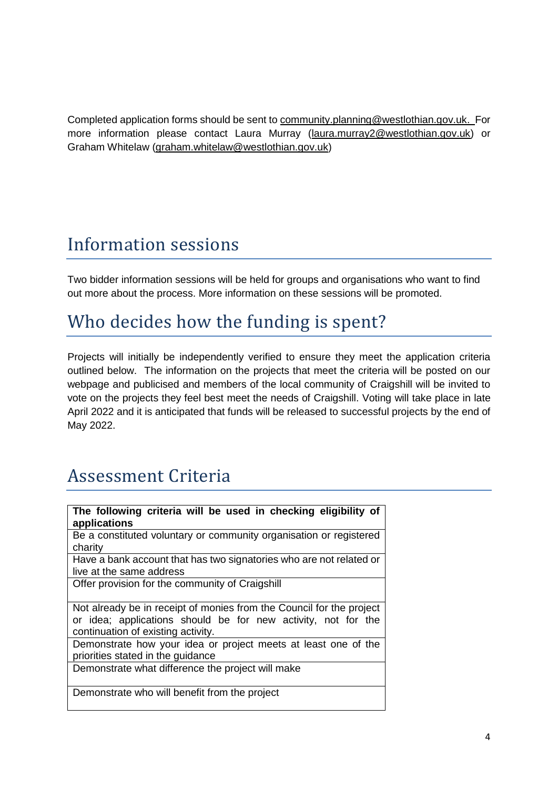Completed application forms should be sent to [community.planning@westlothian.gov.uk.](mailto:community.planning@westlothian.gov.uk) For more information please contact Laura Murray [\(laura.murray2@westlothian.gov.uk\)](mailto:laura.murray2@westlothian.gov.uk) or Graham Whitelaw [\(graham.whitelaw@westlothian.gov.uk\)](mailto:graham.whitelaw@westlothian.gov.uk)

#### Information sessions

Two bidder information sessions will be held for groups and organisations who want to find out more about the process. More information on these sessions will be promoted.

## Who decides how the funding is spent?

Projects will initially be independently verified to ensure they meet the application criteria outlined below. The information on the projects that meet the criteria will be posted on our webpage and publicised and members of the local community of Craigshill will be invited to vote on the projects they feel best meet the needs of Craigshill. Voting will take place in late April 2022 and it is anticipated that funds will be released to successful projects by the end of May 2022.

## Assessment Criteria

| The following criteria will be used in checking eligibility of<br>applications                                                                                              |
|-----------------------------------------------------------------------------------------------------------------------------------------------------------------------------|
| Be a constituted voluntary or community organisation or registered<br>charity                                                                                               |
| Have a bank account that has two signatories who are not related or<br>live at the same address                                                                             |
| Offer provision for the community of Craigshill                                                                                                                             |
| Not already be in receipt of monies from the Council for the project<br>or idea; applications should be for new activity, not for the<br>continuation of existing activity. |
| Demonstrate how your idea or project meets at least one of the<br>priorities stated in the guidance                                                                         |
| Demonstrate what difference the project will make                                                                                                                           |
| Demonstrate who will benefit from the project                                                                                                                               |